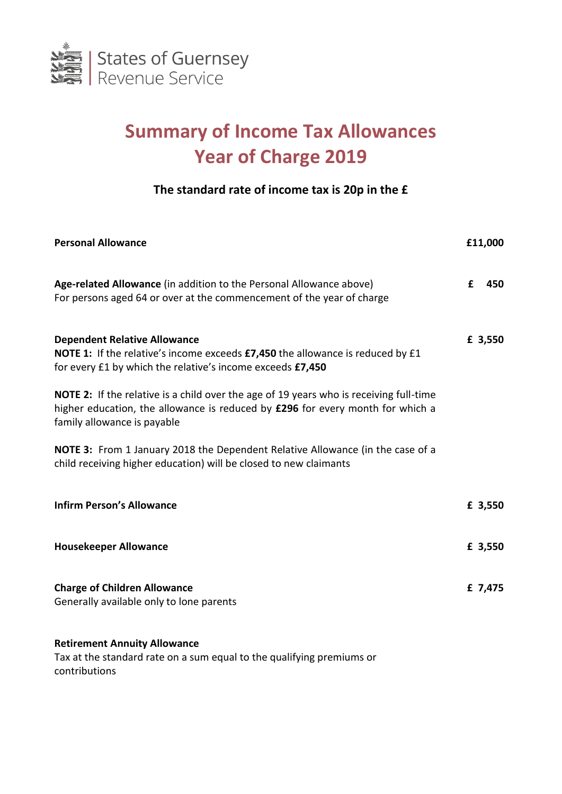

# **Summary of Income Tax Allowances Year of Charge 2019**

## **The standard rate of income tax is 20p in the £**

| <b>Personal Allowance</b>                                                                                                                                                                                      |   | £11,000 |
|----------------------------------------------------------------------------------------------------------------------------------------------------------------------------------------------------------------|---|---------|
| Age-related Allowance (in addition to the Personal Allowance above)<br>For persons aged 64 or over at the commencement of the year of charge                                                                   | f | 450     |
| <b>Dependent Relative Allowance</b><br><b>NOTE 1:</b> If the relative's income exceeds <b>£7,450</b> the allowance is reduced by £1<br>for every £1 by which the relative's income exceeds £7,450              |   | £ 3,550 |
| <b>NOTE 2:</b> If the relative is a child over the age of 19 years who is receiving full-time<br>higher education, the allowance is reduced by £296 for every month for which a<br>family allowance is payable |   |         |
| <b>NOTE 3:</b> From 1 January 2018 the Dependent Relative Allowance (in the case of a<br>child receiving higher education) will be closed to new claimants                                                     |   |         |
| <b>Infirm Person's Allowance</b>                                                                                                                                                                               |   | £ 3,550 |
| <b>Housekeeper Allowance</b>                                                                                                                                                                                   |   | £ 3,550 |
| <b>Charge of Children Allowance</b><br>Generally available only to lone parents                                                                                                                                |   | £ 7,475 |

### **Retirement Annuity Allowance**

Tax at the standard rate on a sum equal to the qualifying premiums or contributions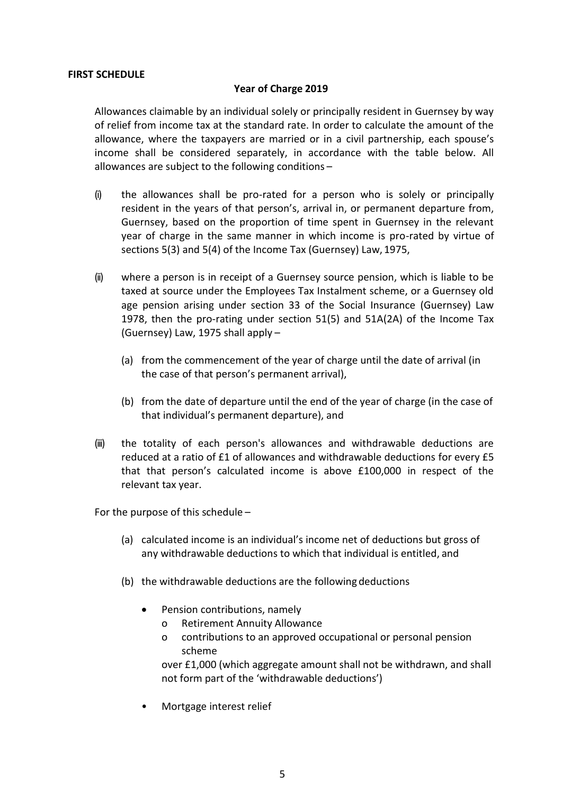#### **FIRST SCHEDULE**

### **Year of Charge 2019**

Allowances claimable by an individual solely or principally resident in Guernsey by way of relief from income tax at the standard rate. In order to calculate the amount of the allowance, where the taxpayers are married or in a civil partnership, each spouse's income shall be considered separately, in accordance with the table below. All allowances are subject to the following conditions –

- (i) the allowances shall be pro-rated for a person who is solely or principally resident in the years of that person's, arrival in, or permanent departure from, Guernsey, based on the proportion of time spent in Guernsey in the relevant year of charge in the same manner in which income is pro-rated by virtue of sections 5(3) and 5(4) of the Income Tax (Guernsey) Law, 1975,
- (ii) where a person is in receipt of a Guernsey source pension, which is liable to be taxed at source under the Employees Tax Instalment scheme, or a Guernsey old age pension arising under section 33 of the Social Insurance (Guernsey) Law 1978, then the pro-rating under section 51(5) and 51A(2A) of the Income Tax (Guernsey) Law, 1975 shall apply –
	- (a) from the commencement of the year of charge until the date of arrival (in the case of that person's permanent arrival),
	- (b) from the date of departure until the end of the year of charge (in the case of that individual's permanent departure), and
- (iii) the totality of each person's allowances and withdrawable deductions are reduced at a ratio of £1 of allowances and withdrawable deductions for every £5 that that person's calculated income is above £100,000 in respect of the relevant tax year.

For the purpose of this schedule –

- (a) calculated income is an individual's income net of deductions but gross of any withdrawable deductions to which that individual is entitled, and
- (b) the withdrawable deductions are the following deductions
	- Pension contributions, namely
		- o Retirement Annuity Allowance
		- o contributions to an approved occupational or personal pension scheme

over £1,000 (which aggregate amount shall not be withdrawn, and shall not form part of the 'withdrawable deductions')

• Mortgage interest relief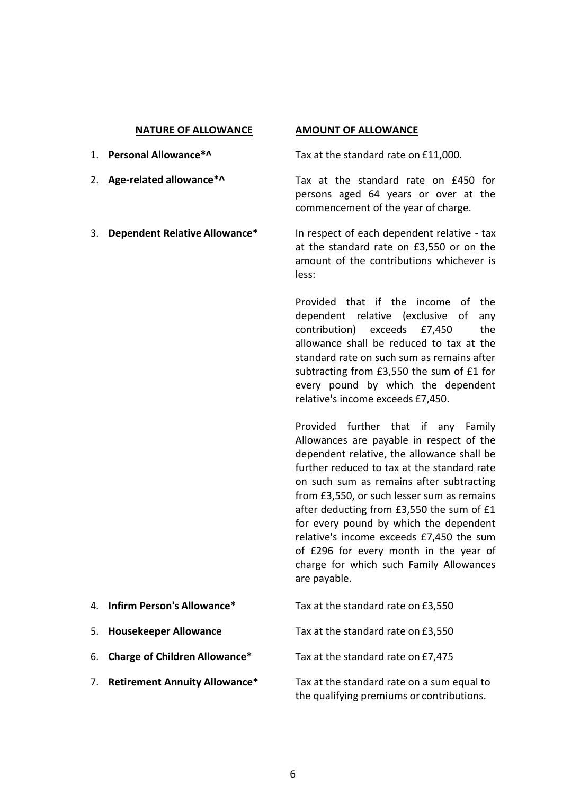- 
- 
- 

#### **NATURE OF ALLOWANCE AMOUNT OF ALLOWANCE**

1. **Personal Allowance\*^** Tax at the standard rate on £11,000.

2. **Age-related allowance\*^** Tax at the standard rate on £450 for persons aged 64 years or over at the commencement of the year of charge.

3. **Dependent Relative Allowance\*** In respect of each dependent relative - tax at the standard rate on £3,550 or on the amount of the contributions whichever is less:

> Provided that if the income of the dependent relative (exclusive of any contribution) exceeds £7,450 the allowance shall be reduced to tax at the standard rate on such sum as remains after subtracting from £3,550 the sum of £1 for every pound by which the dependent relative's income exceeds £7,450.

> Provided further that if any Family Allowances are payable in respect of the dependent relative, the allowance shall be further reduced to tax at the standard rate on such sum as remains after subtracting from £3,550, or such lesser sum as remains after deducting from £3,550 the sum of £1 for every pound by which the dependent relative's income exceeds £7,450 the sum of £296 for every month in the year of charge for which such Family Allowances are payable.

- 4. **Infirm Person's Allowance\*** Tax at the standard rate on £3,550
- 5. **Housekeeper Allowance** Tax at the standard rate on £3,550
- 6. **Charge of Children Allowance\*** Tax at the standard rate on £7,475
- 

7. **Retirement Annuity Allowance\*** Tax at the standard rate on a sum equal to the qualifying premiums or contributions.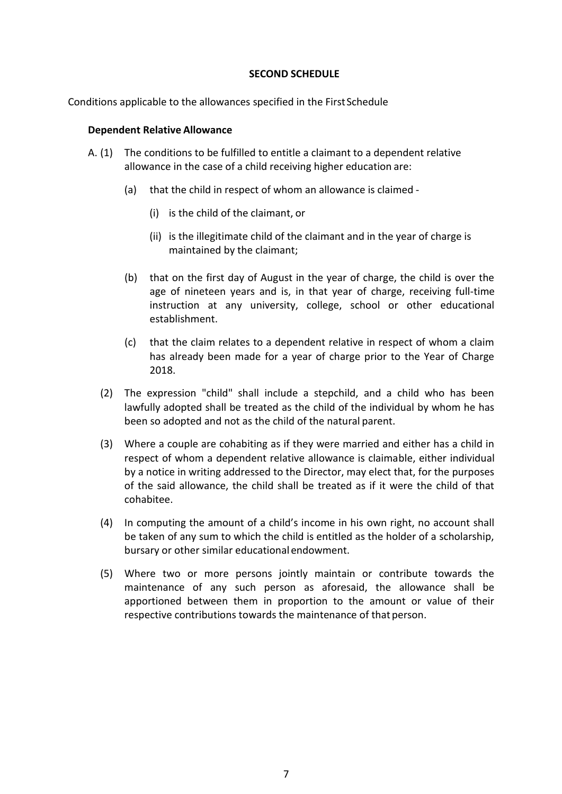#### **SECOND SCHEDULE**

Conditions applicable to the allowances specified in the First Schedule

#### **Dependent Relative Allowance**

- A. (1) The conditions to be fulfilled to entitle a claimant to a dependent relative allowance in the case of a child receiving higher education are:
	- (a) that the child in respect of whom an allowance is claimed
		- (i) is the child of the claimant, or
		- (ii) is the illegitimate child of the claimant and in the year of charge is maintained by the claimant;
	- (b) that on the first day of August in the year of charge, the child is over the age of nineteen years and is, in that year of charge, receiving full-time instruction at any university, college, school or other educational establishment.
	- (c) that the claim relates to a dependent relative in respect of whom a claim has already been made for a year of charge prior to the Year of Charge 2018.
	- (2) The expression "child" shall include a stepchild, and a child who has been lawfully adopted shall be treated as the child of the individual by whom he has been so adopted and not as the child of the natural parent.
	- (3) Where a couple are cohabiting as if they were married and either has a child in respect of whom a dependent relative allowance is claimable, either individual by a notice in writing addressed to the Director, may elect that, for the purposes of the said allowance, the child shall be treated as if it were the child of that cohabitee.
	- (4) In computing the amount of a child's income in his own right, no account shall be taken of any sum to which the child is entitled as the holder of a scholarship, bursary or other similar educational endowment.
	- (5) Where two or more persons jointly maintain or contribute towards the maintenance of any such person as aforesaid, the allowance shall be apportioned between them in proportion to the amount or value of their respective contributions towards the maintenance of that person.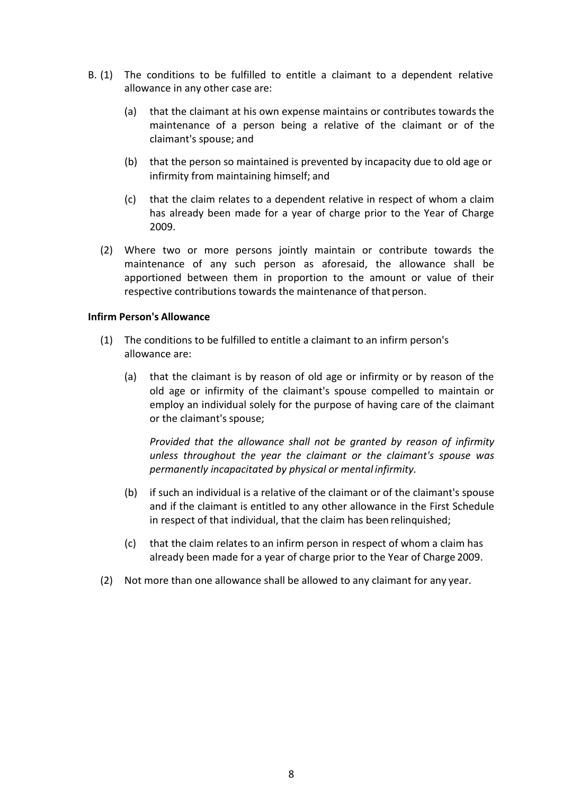- B. (1) The conditions to be fulfilled to entitle a claimant to a dependent relative allowance in any other case are:
	- (a) that the claimant at his own expense maintains or contributes towards the maintenance of a person being a relative of the claimant or of the claimant's spouse; and
	- (b) that the person so maintained is prevented by incapacity due to old age or infirmity from maintaining himself; and
	- (c) that the claim relates to a dependent relative in respect of whom a claim has already been made for a year of charge prior to the Year of Charge 2009.
	- (2) Where two or more persons jointly maintain or contribute towards the maintenance of any such person as aforesaid, the allowance shall be apportioned between them in proportion to the amount or value of their respective contributions towards the maintenance of that person.

### **Infirm Person's Allowance**

- (1) The conditions to be fulfilled to entitle a claimant to an infirm person's allowance are:
	- (a) that the claimant is by reason of old age or infirmity or by reason of the old age or infirmity of the claimant's spouse compelled to maintain or employ an individual solely for the purpose of having care of the claimant or the claimant's spouse;

*Provided that the allowance shall not be granted by reason of infirmity unless throughout the year the claimant or the claimant's spouse was permanently incapacitated by physical or mental infirmity.*

- (b) if such an individual is a relative of the claimant or of the claimant's spouse and if the claimant is entitled to any other allowance in the First Schedule in respect of that individual, that the claim has been relinquished;
- (c) that the claim relates to an infirm person in respect of whom a claim has already been made for a year of charge prior to the Year of Charge 2009.
- (2) Not more than one allowance shall be allowed to any claimant for any year.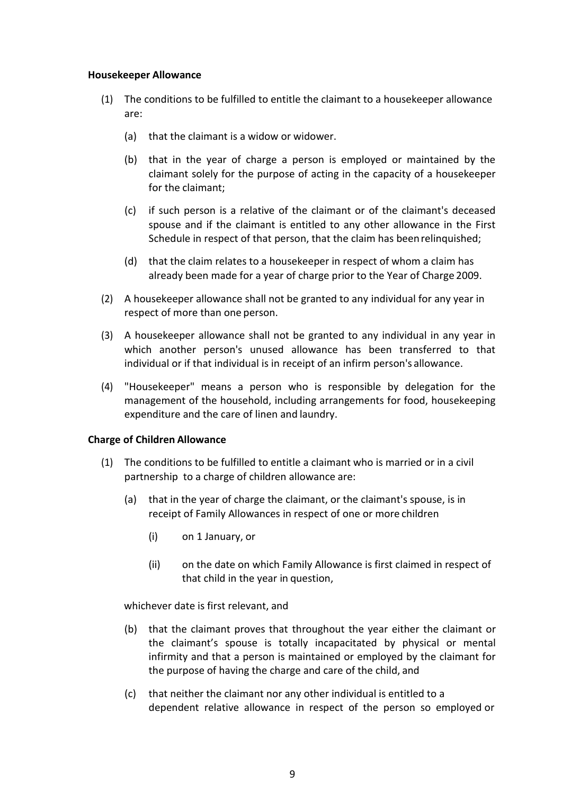#### **Housekeeper Allowance**

- (1) The conditions to be fulfilled to entitle the claimant to a housekeeper allowance are:
	- (a) that the claimant is a widow or widower.
	- (b) that in the year of charge a person is employed or maintained by the claimant solely for the purpose of acting in the capacity of a housekeeper for the claimant;
	- (c) if such person is a relative of the claimant or of the claimant's deceased spouse and if the claimant is entitled to any other allowance in the First Schedule in respect of that person, that the claim has been relinquished;
	- (d) that the claim relates to a housekeeper in respect of whom a claim has already been made for a year of charge prior to the Year of Charge 2009.
- (2) A housekeeper allowance shall not be granted to any individual for any year in respect of more than one person.
- (3) A housekeeper allowance shall not be granted to any individual in any year in which another person's unused allowance has been transferred to that individual or if that individual is in receipt of an infirm person's allowance.
- (4) "Housekeeper" means a person who is responsible by delegation for the management of the household, including arrangements for food, housekeeping expenditure and the care of linen and laundry.

### **Charge of Children Allowance**

- (1) The conditions to be fulfilled to entitle a claimant who is married or in a civil partnership to a charge of children allowance are:
	- (a) that in the year of charge the claimant, or the claimant's spouse, is in receipt of Family Allowances in respect of one or more children
		- (i) on 1 January, or
		- (ii) on the date on which Family Allowance is first claimed in respect of that child in the year in question,

whichever date is first relevant, and

- (b) that the claimant proves that throughout the year either the claimant or the claimant's spouse is totally incapacitated by physical or mental infirmity and that a person is maintained or employed by the claimant for the purpose of having the charge and care of the child, and
- (c) that neither the claimant nor any other individual is entitled to a dependent relative allowance in respect of the person so employed or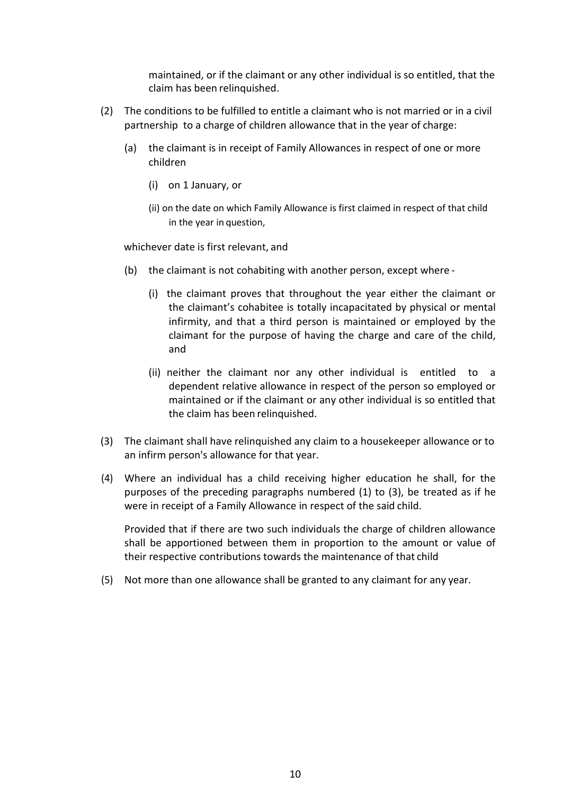maintained, or if the claimant or any other individual is so entitled, that the claim has been relinquished.

- (2) The conditions to be fulfilled to entitle a claimant who is not married or in a civil partnership to a charge of children allowance that in the year of charge:
	- (a) the claimant is in receipt of Family Allowances in respect of one or more children
		- (i) on 1 January, or
		- (ii) on the date on which Family Allowance is first claimed in respect of that child in the year in question,

whichever date is first relevant, and

- (b) the claimant is not cohabiting with another person, except where
	- (i) the claimant proves that throughout the year either the claimant or the claimant's cohabitee is totally incapacitated by physical or mental infirmity, and that a third person is maintained or employed by the claimant for the purpose of having the charge and care of the child, and
	- (ii) neither the claimant nor any other individual is entitled to a dependent relative allowance in respect of the person so employed or maintained or if the claimant or any other individual is so entitled that the claim has been relinquished.
- (3) The claimant shall have relinquished any claim to a housekeeper allowance or to an infirm person's allowance for that year.
- (4) Where an individual has a child receiving higher education he shall, for the purposes of the preceding paragraphs numbered (1) to (3), be treated as if he were in receipt of a Family Allowance in respect of the said child.

Provided that if there are two such individuals the charge of children allowance shall be apportioned between them in proportion to the amount or value of their respective contributions towards the maintenance of that child

(5) Not more than one allowance shall be granted to any claimant for any year.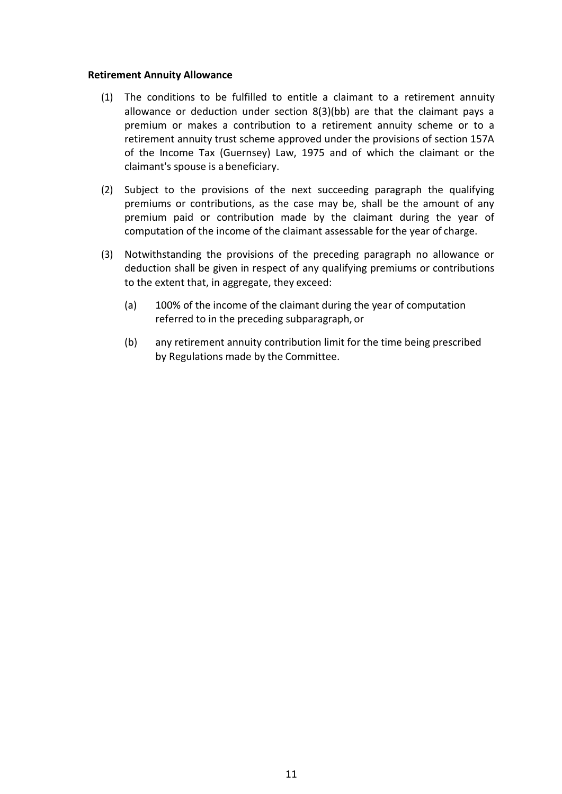#### **Retirement Annuity Allowance**

- (1) The conditions to be fulfilled to entitle a claimant to a retirement annuity allowance or deduction under section 8(3)(bb) are that the claimant pays a premium or makes a contribution to a retirement annuity scheme or to a retirement annuity trust scheme approved under the provisions of section 157A of the Income Tax (Guernsey) Law, 1975 and of which the claimant or the claimant's spouse is a beneficiary.
- (2) Subject to the provisions of the next succeeding paragraph the qualifying premiums or contributions, as the case may be, shall be the amount of any premium paid or contribution made by the claimant during the year of computation of the income of the claimant assessable for the year of charge.
- (3) Notwithstanding the provisions of the preceding paragraph no allowance or deduction shall be given in respect of any qualifying premiums or contributions to the extent that, in aggregate, they exceed:
	- (a) 100% of the income of the claimant during the year of computation referred to in the preceding subparagraph, or
	- (b) any retirement annuity contribution limit for the time being prescribed by Regulations made by the Committee.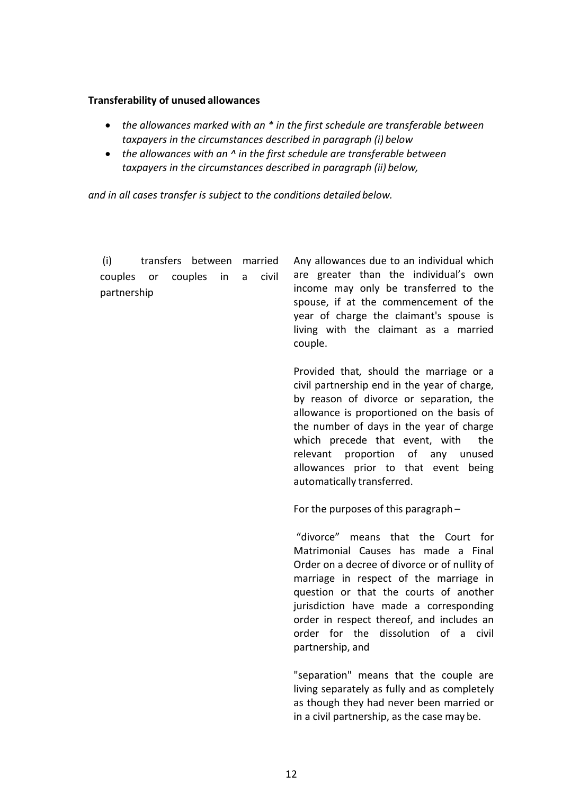#### **Transferability of unused allowances**

- *the allowances marked with an \* in the first schedule are transferable between taxpayers in the circumstances described in paragraph (i) below*
- *the allowances with an ^ in the first schedule are transferable between taxpayers in the circumstances described in paragraph (ii) below,*

*and in all cases transfer is subject to the conditions detailed below.*

(i) transfers between married couples or couples in a civil partnership

Any allowances due to an individual which are greater than the individual's own income may only be transferred to the spouse, if at the commencement of the year of charge the claimant's spouse is living with the claimant as a married couple.

Provided that*,* should the marriage or a civil partnership end in the year of charge, by reason of divorce or separation, the allowance is proportioned on the basis of the number of days in the year of charge which precede that event, with the relevant proportion of any unused allowances prior to that event being automatically transferred.

For the purposes of this paragraph –

"divorce" means that the Court for Matrimonial Causes has made a Final Order on a decree of divorce or of nullity of marriage in respect of the marriage in question or that the courts of another jurisdiction have made a corresponding order in respect thereof, and includes an order for the dissolution of a civil partnership, and

"separation" means that the couple are living separately as fully and as completely as though they had never been married or in a civil partnership, as the case may be.